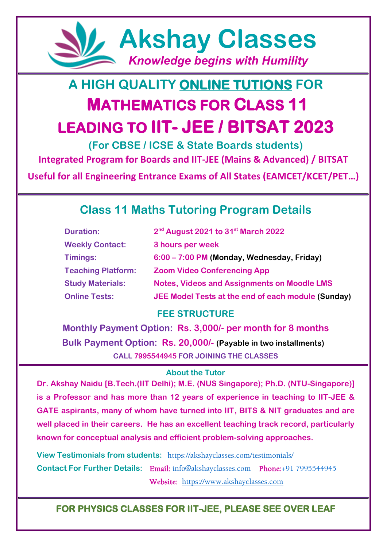

# **A HIGH QUALITY ONLINE TUTIONS FOR MATHEMATICS FOR CLASS 11 LEADING TO IIT- JEE / BITSAT 2023**

**(For CBSE / ICSE & State Boards students) Integrated Program for Boards and IIT-JEE (Mains & Advanced) / BITSAT**

**Useful for all Engineering Entrance Exams of All States (EAMCET/KCET/PET…)**

## **Class 11 Maths Tutoring Program Details**

| <b>Duration:</b>          | 2 <sup>nd</sup> August 2021 to 31 <sup>st</sup> March 2022 |
|---------------------------|------------------------------------------------------------|
| <b>Weekly Contact:</b>    | 3 hours per week                                           |
| Timings:                  | 6:00 – 7:00 PM (Monday, Wednesday, Friday)                 |
| <b>Teaching Platform:</b> | <b>Zoom Video Conferencing App</b>                         |
| <b>Study Materials:</b>   | <b>Notes, Videos and Assignments on Moodle LMS</b>         |
| <b>Online Tests:</b>      | JEE Model Tests at the end of each module (Sunday)         |

#### **FEE STRUCTURE**

**Monthly Payment Option: Rs. 3,000/- per month for 8 months Bulk Payment Option: Rs. 20,000/- (Payable in two installments) CALL 7995544945 FOR JOINING THE CLASSES**

#### **About the Tutor**

**Dr. Akshay Naidu [B.Tech.(IIT Delhi); M.E. (NUS Singapore); Ph.D. (NTU-Singapore)] is a Professor and has more than 12 years of experience in teaching to IIT-JEE & GATE aspirants, many of whom have turned into IIT, BITS & NIT graduates and are well placed in their careers. He has an excellent teaching track record, particularly known for conceptual analysis and efficient problem-solving approaches.** 

**View Testimonials from students:** <https://akshayclasses.com/testimonials/> **Contact For Further Details:** Email: [info@akshayclasses.com](mailto:info@akshayclasses.com) Phone:+91 7995544945 Website: [https://www.akshayclasses.com](https://www.akshayclasses.com/)

#### **FOR PHYSICS CLASSES FOR IIT-JEE, PLEASE SEE OVER LEAF**